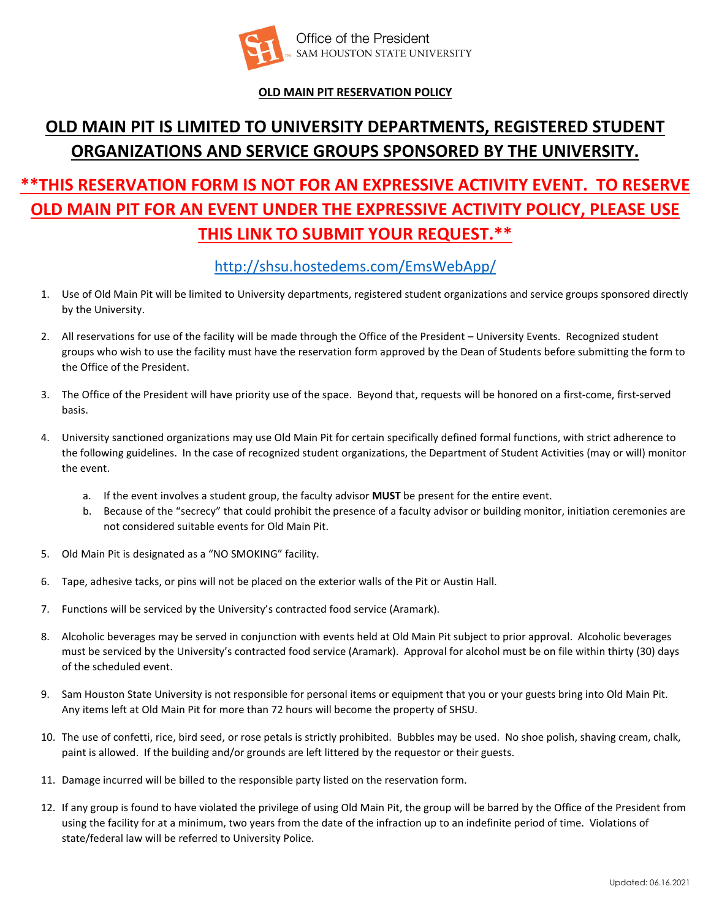

### **OLD MAIN PIT RESERVATION POLICY**

# **OLD MAIN PIT IS LIMITED TO UNIVERSITY DEPARTMENTS, REGISTERED STUDENT ORGANIZATIONS AND SERVICE GROUPS SPONSORED BY THE UNIVERSITY.**

# **\*\*THIS RESERVATION FORM IS NOT FOR AN EXPRESSIVE ACTIVITY EVENT. TO RESERVE OLD MAIN PIT FOR AN EVENT UNDER THE EXPRESSIVE ACTIVITY POLICY, PLEASE USE THIS LINK TO SUBMIT YOUR REQUEST.\*\***

## <http://shsu.hostedems.com/EmsWebApp/>

- 1. Use of Old Main Pit will be limited to University departments, registered student organizations and service groups sponsored directly by the University.
- 2. All reservations for use of the facility will be made through the Office of the President University Events. Recognized student groups who wish to use the facility must have the reservation form approved by the Dean of Students before submitting the form to the Office of the President.
- 3. The Office of the President will have priority use of the space. Beyond that, requests will be honored on a first-come, first-served basis.
- 4. University sanctioned organizations may use Old Main Pit for certain specifically defined formal functions, with strict adherence to the following guidelines. In the case of recognized student organizations, the Department of Student Activities (may or will) monitor the event.
	- a. If the event involves a student group, the faculty advisor **MUST** be present for the entire event.
	- b. Because of the "secrecy" that could prohibit the presence of a faculty advisor or building monitor, initiation ceremonies are not considered suitable events for Old Main Pit.
- 5. Old Main Pit is designated as a "NO SMOKING" facility.
- 6. Tape, adhesive tacks, or pins will not be placed on the exterior walls of the Pit or Austin Hall.
- 7. Functions will be serviced by the University's contracted food service (Aramark).
- 8. Alcoholic beverages may be served in conjunction with events held at Old Main Pit subject to prior approval. Alcoholic beverages must be serviced by the University's contracted food service (Aramark). Approval for alcohol must be on file within thirty (30) days of the scheduled event.
- 9. Sam Houston State University is not responsible for personal items or equipment that you or your guests bring into Old Main Pit. Any items left at Old Main Pit for more than 72 hours will become the property of SHSU.
- 10. The use of confetti, rice, bird seed, or rose petals is strictly prohibited. Bubbles may be used. No shoe polish, shaving cream, chalk, paint is allowed. If the building and/or grounds are left littered by the requestor or their guests.
- 11. Damage incurred will be billed to the responsible party listed on the reservation form.
- 12. If any group is found to have violated the privilege of using Old Main Pit, the group will be barred by the Office of the President from using the facility for at a minimum, two years from the date of the infraction up to an indefinite period of time. Violations of state/federal law will be referred to University Police.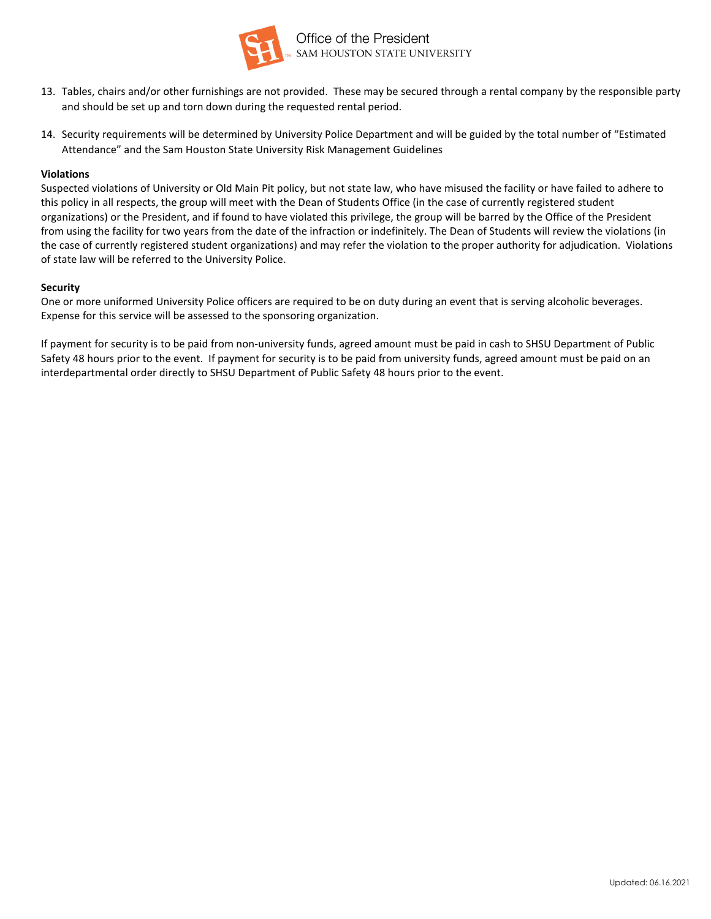

- 13. Tables, chairs and/or other furnishings are not provided. These may be secured through a rental company by the responsible party and should be set up and torn down during the requested rental period.
- 14. Security requirements will be determined by University Police Department and will be guided by the total number of "Estimated Attendance" and the Sam Houston State University Risk Management Guidelines

#### **Violations**

Suspected violations of University or Old Main Pit policy, but not state law, who have misused the facility or have failed to adhere to this policy in all respects, the group will meet with the Dean of Students Office (in the case of currently registered student organizations) or the President, and if found to have violated this privilege, the group will be barred by the Office of the President from using the facility for two years from the date of the infraction or indefinitely. The Dean of Students will review the violations (in the case of currently registered student organizations) and may refer the violation to the proper authority for adjudication. Violations of state law will be referred to the University Police.

#### **Security**

One or more uniformed University Police officers are required to be on duty during an event that is serving alcoholic beverages. Expense for this service will be assessed to the sponsoring organization.

If payment for security is to be paid from non-university funds, agreed amount must be paid in cash to SHSU Department of Public Safety 48 hours prior to the event. If payment for security is to be paid from university funds, agreed amount must be paid on an interdepartmental order directly to SHSU Department of Public Safety 48 hours prior to the event.